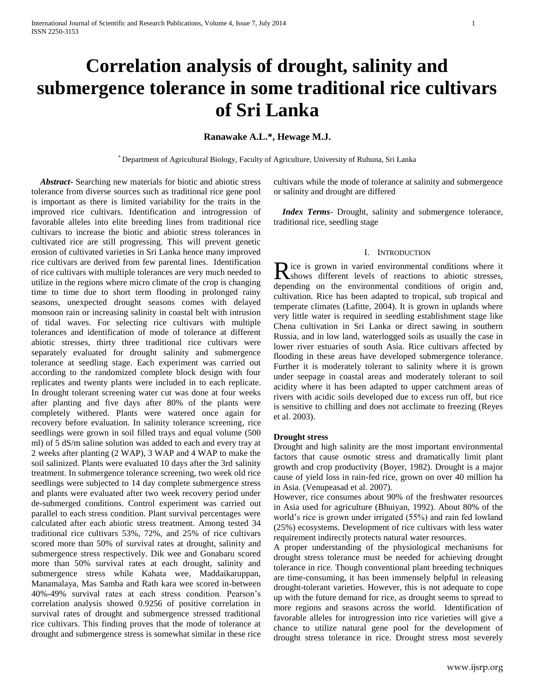# **Correlation analysis of drought, salinity and submergence tolerance in some traditional rice cultivars of Sri Lanka**

# **Ranawake A.L.\*, Hewage M.J.**

\* Department of Agricultural Biology, Faculty of Agriculture, University of Ruhuna, Sri Lanka

 *Abstract***-** Searching new materials for biotic and abiotic stress tolerance from diverse sources such as traditional rice gene pool is important as there is limited variability for the traits in the improved rice cultivars. Identification and introgression of favorable alleles into elite breeding lines from traditional rice cultivars to increase the biotic and abiotic stress tolerances in cultivated rice are still progressing. This will prevent genetic erosion of cultivated varieties in Sri Lanka hence many improved rice cultivars are derived from few parental lines. Identification of rice cultivars with multiple tolerances are very much needed to utilize in the regions where micro climate of the crop is changing time to time due to short term flooding in prolonged rainy seasons, unexpected drought seasons comes with delayed monsoon rain or increasing salinity in coastal belt with intrusion of tidal waves. For selecting rice cultivars with multiple tolerances and identification of mode of tolerance at different abiotic stresses, thirty three traditional rice cultivars were separately evaluated for drought salinity and submergence tolerance at seedling stage. Each experiment was carried out according to the randomized complete block design with four replicates and twenty plants were included in to each replicate. In drought tolerant screening water cut was done at four weeks after planting and five days after 80% of the plants were completely withered. Plants were watered once again for recovery before evaluation. In salinity tolerance screening, rice seedlings were grown in soil filled trays and equal volume (500 ml) of 5 dS/m saline solution was added to each and every tray at 2 weeks after planting (2 WAP), 3 WAP and 4 WAP to make the soil salinized. Plants were evaluated 10 days after the 3rd salinity treatment. In submergence tolerance screening, two week old rice seedlings were subjected to 14 day complete submergence stress and plants were evaluated after two week recovery period under de-submerged conditions. Control experiment was carried out parallel to each stress condition. Plant survival percentages were calculated after each abiotic stress treatment. Among tested 34 traditional rice cultivars 53%, 72%, and 25% of rice cultivars scored more than 50% of survival rates at drought, salinity and submergence stress respectively. Dik wee and Gonabaru scored more than 50% survival rates at each drought, salinity and submergence stress while Kahata wee, Maddaikaruppan, Manamalaya, Mas Samba and Rath kara wee scored in-between 40%-49% survival rates at each stress condition. Pearson's correlation analysis showed 0.9256 of positive correlation in survival rates of drought and submergence stressed traditional rice cultivars. This finding proves that the mode of tolerance at drought and submergence stress is somewhat similar in these rice

cultivars while the mode of tolerance at salinity and submergence or salinity and drought are differed

 *Index Terms*- Drought, salinity and submergence tolerance, traditional rice, seedling stage

## I. INTRODUCTION

ice is grown in varied environmental conditions where it Rice is grown in varied environmental conditions where it shows different levels of reactions to abiotic stresses, depending on the environmental conditions of origin and, cultivation. Rice has been adapted to tropical, sub tropical and temperate climates (Lafitte, 2004). It is grown in uplands where very little water is required in seedling establishment stage like Chena cultivation in Sri Lanka or direct sawing in southern Russia, and in low land, waterlogged soils as usually the case in lower river estuaries of south Asia. Rice cultivars affected by flooding in these areas have developed submergence tolerance. Further it is moderately tolerant to salinity where it is grown under seepage in coastal areas and moderately tolerant to soil acidity where it has been adapted to upper catchment areas of rivers with acidic soils developed due to excess run off, but rice is sensitive to chilling and does not acclimate to freezing (Reyes et al. 2003).

## **Drought stress**

Drought and high salinity are the most important environmental factors that cause osmotic stress and dramatically limit plant growth and crop productivity (Boyer, 1982). Drought is a major cause of yield loss in rain-fed rice, grown on over 40 million ha in Asia. (Venupeasad et al. 2007).

However, rice consumes about 90% of the freshwater resources in Asia used for agriculture (Bhuiyan, 1992). About 80% of the world's rice is grown under irrigated (55%) and rain fed lowland (25%) ecosystems. Development of rice cultivars with less water requirement indirectly protects natural water resources.

A proper understanding of the physiological mechanisms for drought stress tolerance must be needed for achieving drought tolerance in rice. Though conventional plant breeding techniques are time-consuming, it has been immensely helpful in releasing drought-tolerant varieties. However, this is not adequate to cope up with the future demand for rice, as drought seems to spread to more regions and seasons across the world. Identification of favorable alleles for introgression into rice varieties will give a chance to utilize natural gene pool for the development of drought stress tolerance in rice. Drought stress most severely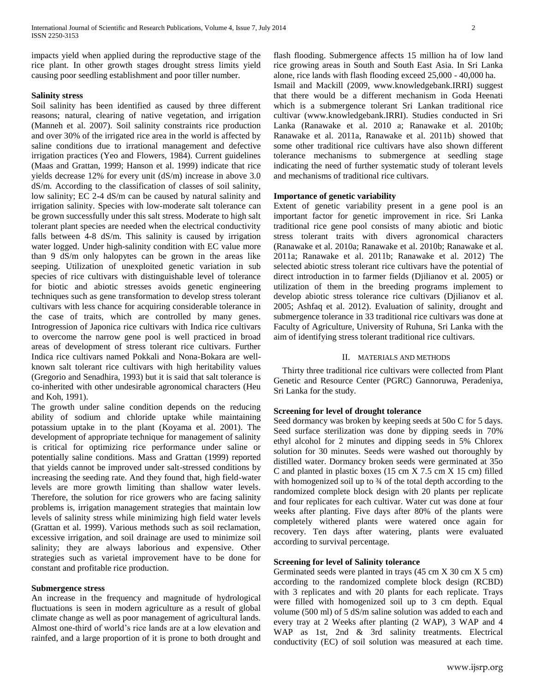impacts yield when applied during the reproductive stage of the rice plant. In other growth stages drought stress limits yield causing poor seedling establishment and poor tiller number.

## **Salinity stress**

Soil salinity has been identified as caused by three different reasons; natural, clearing of native vegetation, and irrigation (Manneh et al. 2007). Soil salinity constraints rice production and over 30% of the irrigated rice area in the world is affected by saline conditions due to irrational management and defective irrigation practices (Yeo and Flowers, 1984). Current guidelines (Maas and Grattan, 1999; Hanson et al. 1999) indicate that rice yields decrease 12% for every unit (dS/m) increase in above 3.0 dS/m. According to the classification of classes of soil salinity, low salinity; EC 2-4 dS/m can be caused by natural salinity and irrigation salinity. Species with low-moderate salt tolerance can be grown successfully under this salt stress. Moderate to high salt tolerant plant species are needed when the electrical conductivity falls between 4-8 dS/m. This salinity is caused by irrigation water logged. Under high-salinity condition with EC value more than 9 dS/m only halopytes can be grown in the areas like seeping. Utilization of unexploited genetic variation in sub species of rice cultivars with distinguishable level of tolerance for biotic and abiotic stresses avoids genetic engineering techniques such as gene transformation to develop stress tolerant cultivars with less chance for acquiring considerable tolerance in the case of traits, which are controlled by many genes. Introgression of Japonica rice cultivars with Indica rice cultivars to overcome the narrow gene pool is well practiced in broad areas of development of stress tolerant rice cultivars. Further Indica rice cultivars named Pokkali and Nona-Bokara are wellknown salt tolerant rice cultivars with high heritability values (Gregorio and Senadhira, 1993) but it is said that salt tolerance is co-inherited with other undesirable agronomical characters (Heu and Koh, 1991).

The growth under saline condition depends on the reducing ability of sodium and chloride uptake while maintaining potassium uptake in to the plant (Koyama et al. 2001). The development of appropriate technique for management of salinity is critical for optimizing rice performance under saline or potentially saline conditions. Mass and Grattan (1999) reported that yields cannot be improved under salt-stressed conditions by increasing the seeding rate. And they found that, high field-water levels are more growth limiting than shallow water levels. Therefore, the solution for rice growers who are facing salinity problems is, irrigation management strategies that maintain low levels of salinity stress while minimizing high field water levels (Grattan et al. 1999). Various methods such as soil reclamation, excessive irrigation, and soil drainage are used to minimize soil salinity; they are always laborious and expensive. Other strategies such as varietal improvement have to be done for constant and profitable rice production.

## **Submergence stress**

An increase in the frequency and magnitude of hydrological fluctuations is seen in modern agriculture as a result of global climate change as well as poor management of agricultural lands. Almost one-third of world's rice lands are at a low elevation and rainfed, and a large proportion of it is prone to both drought and

flash flooding. Submergence affects 15 million ha of low land rice growing areas in South and South East Asia. In Sri Lanka alone, rice lands with flash flooding exceed 25,000 - 40,000 ha. Ismail and Mackill (2009, www.knowledgebank.IRRI) suggest that there would be a different mechanism in Goda Heenati which is a submergence tolerant Sri Lankan traditional rice cultivar (www.knowledgebank.IRRI). Studies conducted in Sri Lanka (Ranawake et al. 2010 a; Ranawake et al. 2010b; Ranawake et al. 2011a, Ranawake et al. 2011b) showed that some other traditional rice cultivars have also shown different tolerance mechanisms to submergence at seedling stage indicating the need of further systematic study of tolerant levels and mechanisms of traditional rice cultivars.

## **Importance of genetic variability**

Extent of genetic variability present in a gene pool is an important factor for genetic improvement in rice. Sri Lanka traditional rice gene pool consists of many abiotic and biotic stress tolerant traits with divers agronomical characters (Ranawake et al. 2010a; Ranawake et al. 2010b; Ranawake et al. 2011a; Ranawake et al. 2011b; Ranawake et al. 2012) The selected abiotic stress tolerant rice cultivars have the potential of direct introduction in to farmer fields (Djilianov et al. 2005) or utilization of them in the breeding programs implement to develop abiotic stress tolerance rice cultivars (Djilianov et al. 2005; Ashfaq et al. 2012). Evaluation of salinity, drought and submergence tolerance in 33 traditional rice cultivars was done at Faculty of Agriculture, University of Ruhuna, Sri Lanka with the aim of identifying stress tolerant traditional rice cultivars.

## II. MATERIALS AND METHODS

 Thirty three traditional rice cultivars were collected from Plant Genetic and Resource Center (PGRC) Gannoruwa, Peradeniya, Sri Lanka for the study.

## **Screening for level of drought tolerance**

Seed dormancy was broken by keeping seeds at 50o C for 5 days. Seed surface sterilization was done by dipping seeds in 70% ethyl alcohol for 2 minutes and dipping seeds in 5% Chlorex solution for 30 minutes. Seeds were washed out thoroughly by distilled water. Dormancy broken seeds were germinated at 35o C and planted in plastic boxes (15 cm X 7.5 cm X 15 cm) filled with homogenized soil up to  $\frac{3}{4}$  of the total depth according to the randomized complete block design with 20 plants per replicate and four replicates for each cultivar. Water cut was done at four weeks after planting. Five days after 80% of the plants were completely withered plants were watered once again for recovery. Ten days after watering, plants were evaluated according to survival percentage.

## **Screening for level of Salinity tolerance**

Germinated seeds were planted in trays (45 cm X 30 cm X 5 cm) according to the randomized complete block design (RCBD) with 3 replicates and with 20 plants for each replicate. Trays were filled with homogenized soil up to 3 cm depth. Equal volume (500 ml) of 5 dS/m saline solution was added to each and every tray at 2 Weeks after planting (2 WAP), 3 WAP and 4 WAP as 1st, 2nd & 3rd salinity treatments. Electrical conductivity (EC) of soil solution was measured at each time.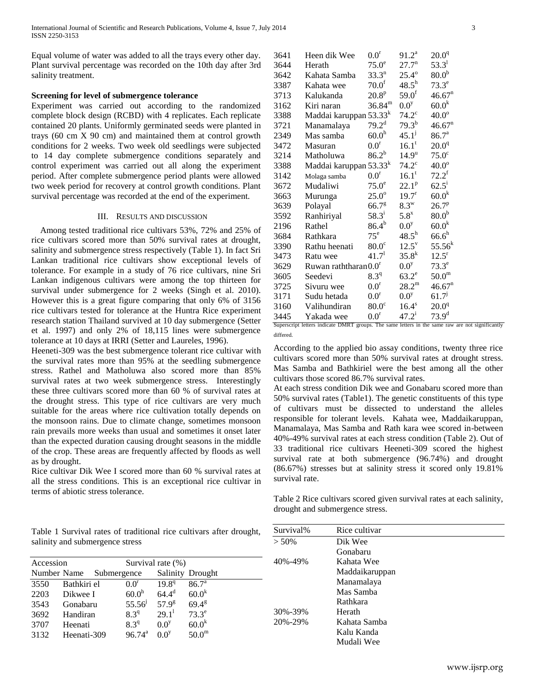Equal volume of water was added to all the trays every other day. Plant survival percentage was recorded on the 10th day after 3rd salinity treatment.

# **Screening for level of submergence tolerance**

Experiment was carried out according to the randomized complete block design (RCBD) with 4 replicates. Each replicate contained 20 plants. Uniformly germinated seeds were planted in trays (60 cm X 90 cm) and maintained them at control growth conditions for 2 weeks. Two week old seedlings were subjected to 14 day complete submergence conditions separately and control experiment was carried out all along the experiment period. After complete submergence period plants were allowed two week period for recovery at control growth conditions. Plant survival percentage was recorded at the end of the experiment.

## III. RESULTS AND DISCUSSION

 Among tested traditional rice cultivars 53%, 72% and 25% of rice cultivars scored more than 50% survival rates at drought, salinity and submergence stress respectively (Table 1). In fact Sri Lankan traditional rice cultivars show exceptional levels of tolerance. For example in a study of 76 rice cultivars, nine Sri Lankan indigenous cultivars were among the top thirteen for survival under submergence for 2 weeks (Singh et al. 2010). However this is a great figure comparing that only 6% of 3156 rice cultivars tested for tolerance at the Huntra Rice experiment research station Thailand survived at 10 day submergence (Setter et al. 1997) and only 2% of 18,115 lines were submergence tolerance at 10 days at IRRI (Setter and Laureles, 1996).

Heeneti-309 was the best submergence tolerant rice cultivar with the survival rates more than 95% at the seedling submergence stress. Rathel and Matholuwa also scored more than 85% survival rates at two week submergence stress. Interestingly these three cultivars scored more than 60 % of survival rates at the drought stress. This type of rice cultivars are very much suitable for the areas where rice cultivation totally depends on the monsoon rains. Due to climate change, sometimes monsoon rain prevails more weeks than usual and sometimes it onset later than the expected duration causing drought seasons in the middle of the crop. These areas are frequently affected by floods as well as by drought.

Rice cultivar Dik Wee I scored more than 60 % survival rates at all the stress conditions. This is an exceptional rice cultivar in terms of abiotic stress tolerance.

| 3641 | Heen dik Wee                       | 0.0 <sup>r</sup>  | $91.2^a$            | $20.0^{\rm q}$     |
|------|------------------------------------|-------------------|---------------------|--------------------|
| 3644 | Herath                             | $75.0^\mathrm{e}$ | 27.7 <sup>n</sup>   | $53.3^{1}$         |
| 3642 | Kahata Samba                       | $33.3^{n}$        | $25.4^{\circ}$      | $80.0^{\rm b}$     |
| 3387 | Kahata wee                         | 70.0 <sup>f</sup> | $48.5^h$            | $73.3^e$           |
| 3713 | Kalukanda                          | $20.8^{\rm p}$    | $59.0^{\rm f}$      | 46.67 <sup>n</sup> |
| 3162 | Kiri naran                         | $36.84^{\rm m}$   | 0.0 <sup>y</sup>    | $60.0^{\rm k}$     |
| 3388 | Maddai karuppan 53.33 <sup>k</sup> |                   | $74.2^{\circ}$      | $40.0^\circ$       |
| 3721 | Manamalaya                         | $79.2^{\rm d}$    | $79.3^{b}$          | 46.67 <sup>n</sup> |
| 2349 | Mas samba                          | 60.0 <sup>h</sup> | $45.1^{j}$          | 86.7 <sup>a</sup>  |
| 3472 | Masuran                            | $0.0^{\rm r}$     | 16.1 <sup>t</sup>   | $20.0^{q}$         |
| 3214 | Matholuwa                          | $86.2^{b}$        | 14.9 <sup>u</sup>   | $75.0^{\circ}$     |
| 3388 | Maddai karuppan 53.33 <sup>k</sup> |                   | $74.2^{\circ}$      | $40.0^\circ$       |
| 3142 | Molaga samba                       | $0.0^{\rm r}$     | 16.1 <sup>t</sup>   | $72.2^f$           |
| 3672 | Mudaliwi                           | $75.0^\circ$      | $22.1^p$            | $62.5^{\rm i}$     |
| 3663 | Murunga                            | $25.0^\circ$      | 19.7 <sup>r</sup>   | $60.0^{\rm k}$     |
| 3639 | Polayal                            | 66.7 <sup>g</sup> | $8.3^{\mathrm{w}}$  | $26.7^{\rm p}$     |
| 3592 | Ranhiriyal                         | $58.3^{i}$        | $5.8^x$             | 80.0 <sup>b</sup>  |
| 2196 | Rathel                             | $86.4^{b}$        | $0.0^y$             | $60.0^{\rm k}$     |
| 3684 | Rathkara                           | $75^e$            | $48.5^{\rm h}$      | $66.6^h$           |
| 3390 | Rathu heenati                      | $80.0^\circ$      | $12.5^{\mathrm{v}}$ | $55.56^{k}$        |
| 3473 | Ratu wee                           | 41.7 <sup>1</sup> | $35.8^k$            | $12.5^{\rm r}$     |
| 3629 | Ruwan raththaran $0.0r$            |                   | 0.0 <sup>y</sup>    | $73.3^e$           |
| 3605 | Seedevi                            | 8.3 <sup>q</sup>  | $63.2^e$            | 50.0 <sup>m</sup>  |
| 3725 | Sivuru wee                         | 0.0 <sup>r</sup>  | $28.2^{\rm m}$      | 46.67 <sup>n</sup> |
| 3171 | Sudu hetada                        | 0.0 <sup>r</sup>  | 0.0 <sup>y</sup>    | $61.7^{j}$         |
| 3160 | Valihundiran                       | 80.0 <sup>c</sup> | 16.4 <sup>s</sup>   | $20.0^{q}$         |
| 3445 | Yakada wee                         | $0.0^{\rm r}$     | $47.2^{\rm i}$      | $73.9^{d}$         |
|      |                                    |                   |                     |                    |

Superscript letters indicate DMRT groups. The same letters in the same raw are not significantly differed.

According to the applied bio assay conditions, twenty three rice cultivars scored more than 50% survival rates at drought stress. Mas Samba and Bathkiriel were the best among all the other cultivars those scored 86.7% survival rates.

At each stress condition Dik wee and Gonabaru scored more than 50% survival rates (Table1). The genetic constituents of this type of cultivars must be dissected to understand the alleles responsible for tolerant levels. Kahata wee, Maddaikaruppan, Manamalaya, Mas Samba and Rath kara wee scored in-between 40%-49% survival rates at each stress condition (Table 2). Out of 33 traditional rice cultivars Heeneti-309 scored the highest survival rate at both submergence (96.74%) and drought (86.67%) stresses but at salinity stress it scored only 19.81% survival rate.

Table 2 Rice cultivars scored given survival rates at each salinity, drought and submergence stress.

|                                 | Table 1 Survival rates of traditional rice cultivars after drought, |  |  |
|---------------------------------|---------------------------------------------------------------------|--|--|
| salinity and submergence stress |                                                                     |  |  |

| Accession   |             |             |                   | Survival rate $(\%)$ |                   |
|-------------|-------------|-------------|-------------------|----------------------|-------------------|
| Number Name |             | Submergence |                   |                      | Salinity Drought  |
| 3550        | Bathkiri el |             | 0.0 <sup>r</sup>  | 19.8 <sup>q</sup>    | 86.7 <sup>a</sup> |
| 2203        | Dikwee I    |             | 60.0 <sup>h</sup> | $64.4^{\rm d}$       | $60.0^k$          |
| 3543        | Gonabaru    |             | $55.56^{j}$       | $57.9^{\rm g}$       | $69.4^{\text{g}}$ |
| 3692        | Handiran    |             | 8.3 <sup>q</sup>  | $29.1^1$             | $73.3^e$          |
| 3707        | Heenati     |             | 8.3 <sup>q</sup>  | 0.0 <sup>y</sup>     | $60.0^k$          |
| 3132        | Heenati-309 |             | $96.74^{\circ}$   | 0 <sup>0</sup>       | 50.0 <sup>m</sup> |

| Survival% | Rice cultivar  |
|-----------|----------------|
| $> 50\%$  | Dik Wee        |
|           | Gonabaru       |
| 40%-49%   | Kahata Wee     |
|           | Maddaikaruppan |
|           | Manamalaya     |
|           | Mas Samba      |
|           | Rathkara       |
| 30%-39%   | Herath         |
| 20%-29%   | Kahata Samba   |
|           | Kalu Kanda     |
|           | Mudali Wee     |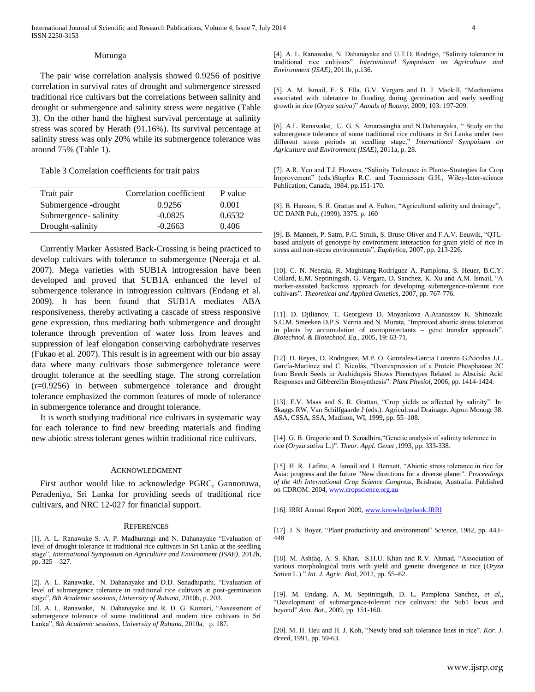#### Murunga

The pair wise correlation analysis showed 0.9256 of positive correlation in survival rates of drought and submergence stressed traditional rice cultivars but the correlations between salinity and drought or submergence and salinity stress were negative (Table 3). On the other hand the highest survival percentage at salinity stress was scored by Herath (91.16%). Its survival percentage at salinity stress was only 20% while its submergence tolerance was around 75% (Table 1).

Table 3 Correlation coefficients for trait pairs

| Trait pair           | Correlation coefficient | P value |
|----------------------|-------------------------|---------|
| Submergence -drought | 0.9256                  | 0.001   |
| Submergence-salinity | $-0.0825$               | 0.6532  |
| Drought-salinity     | $-0.2663$               | 0.406   |

Currently Marker Assisted Back-Crossing is being practiced to develop cultivars with tolerance to submergence (Neeraja et al. 2007). Mega varieties with SUB1A introgression have been developed and proved that SUB1A enhanced the level of submergence tolerance in introgression cultivars (Endang et al. 2009). It has been found that SUB1A mediates ABA responsiveness, thereby activating a cascade of stress responsive gene expression, thus mediating both submergence and drought tolerance through prevention of water loss from leaves and suppression of leaf elongation conserving carbohydrate reserves (Fukao et al. 2007). This result is in agreement with our bio assay data where many cultivars those submergence tolerance were drought tolerance at the seedling stage. The strong correlation (r=0.9256) in between submergence tolerance and drought tolerance emphasized the common features of mode of tolerance in submergence tolerance and drought tolerance.

It is worth studying traditional rice cultivars in systematic way for each tolerance to find new breeding materials and finding new abiotic stress tolerant genes within traditional rice cultivars.

#### ACKNOWLEDGMENT

First author would like to acknowledge PGRC, Gannoruwa, Peradeniya, Sri Lanka for providing seeds of traditional rice cultivars, and NRC 12-027 for financial support.

#### **REFERENCES**

[1]. A. L. Ranawake S. A. P. Madhurangi and N. Dahanayake "Evaluation of level of drought tolerance in traditional rice cultivars in Sri Lanka at the seedling stage". *International Symposium on Agriculture and Environment (ISAE)*, 2012b, pp. 325 – 327.

[2]. A. L. Ranawake, N. Dahanayake and D.D. Senadhipathi, "Evaluation of level of submergence tolerance in traditional rice cultivars at post-germination stage", *8th Academic sessions*, *University of Ruhuna,* 2010b, p. 203.

[3]. A. L. Ranawake, N. Dahanayake and R. D. G. Kumari, "Assessment of submergence tolerance of some traditional and modern rice cultivars in Sri Lanka", *8th Academic sessions*, *University of Ruhuna*, 2010a, p. 187.

[4]. A. L. Ranawake, N. Dahanayake and U.T.D. Rodrigo, "Salinity tolerance in traditional rice cultivars" *International Sympoisum on Agriculture and Environment (ISAE)*, 2011b, p.136.

[5]. A. M. Ismail, E. S. Ella, G.V. Vergara and D. J. Mackill, "Mechanisms associated with tolerance to flooding during germination and early seedling growth in rice (*Oryza sativa*)" *Annals of Botany*, 2009, 103: 197-209.

[6]. A.L. Ranawake, U. G. S. Amarasingha and N.Dahanayaka, " Study on the submergence tolerance of some traditional rice cultivars in Sri Lanka under two different stress periods at seedling stage," *International Sympoisum on Agriculture and Environment (ISAE)*, 2011a, p. 28.

[7]. A.R. Yeo and T.J. Flowers, "Salinity Tolerance in Plants–Strategies for Crop Improvement" (eds.)Staples R.C. and Toenniessen G.H., Wiley-Inter-science Publication, Canada, 1984, pp.151-170.

[8]. B. Hanson, S. R. Grattan and A. Fulton, "Agricultural salinity and drainage", UC DANR Pub, (1999). 3375. p. 160

[9]. B. Manneh, P. Satm, P.C. Struik, S. Bruse-Oliver and F.A.V. Eeuwik, "QTLbased analysis of genotype by environment interaction for grain yield of rice in stress and non-stress environments", *Euphytica*, 2007, pp. 213-226.

[10]. C. N. Neeraja, R. Maghirang-Rodriguez A. Pamplona, S. Heuer, B.C.Y. Collard, E.M. Septiningsih, G. Vergara, D. Sanchez, K. Xu and A.M. Ismail, "A marker-assisted backcross approach for developing submergence-tolerant rice cultivars". *Theoretical and Applied Genetics*, 2007, pp. 767-776.

[11]. D. Djilianov, T. Georgieva D. Moyankova A.Atanassov K. Shinozaki S.C.M. Smeeken D.P.S. Verma and N. Murata, "Improved abiotic stress tolerance in plants by accumulation of osmoprotectants – gene transfer approach". *Biotechnol. & Biotechnol. Eq*., 2005, 19: 63-71.

[12]. D. Reyes, D. Rodriguez, M.P. O. Gonzales-Garcia Lorenzo G.Nicolas J.L. García-Martínez and C. Nicolás, "Overexpression of a Protein Phosphatase 2C from Beech Seeds in Arabidopsis Shows Phenotypes Related to Abscisic Acid Responses and Gibberellin Biosynthesis". *Plant Physiol,* 2006, pp. 1414-1424.

[13]. E.V. Maas and S. R. Grattan, "Crop yields as affected by salinity". In: Skaggs RW, Van Schilfgaarde J (eds.). Agricultural Drainage. Agron Monogr 38. ASA, CSSA, SSA, Madison, WI, 1999, pp. 55–108.

[14]. G. B. Gregorio and D. Senadhira, "Genetic analysis of salinity tolerance in rice (*Oryza sativa* L.)". *Theor. Appl. Genet* ,1993, pp. 333-338.

[15]. H. R. Lafitte, A. Ismail and J. Bennett, "Abiotic stress tolerance in rice for Asia: progress and the future "New directions for a diverse planet". *Proceedings of the 4th International Crop Science Congress*, Brisbane, Australia. Published on CDROM. 2004[, www.cropscience.org.au](http://www.cropscience.org.au/)

[16]. IRRI Annual Report 2009[, www.knowledgebank.IRRI](http://www.knowledgebank.irri/)

[17]. J. S. Boyer, "Plant productivity and environment" *Science,* 1982, pp. 443– 448

[18]. M. Ashfaq, A. S. Khan, S.H.U. Khan and R.V. Ahmad, "Association of various morphological traits with yield and genetic divergence in rice (*Oryza Sativa* L.)." *Int. J. Agric. Biol*, 2012, pp. 55–62.

[19]. M. Endang, A. M. Septiningsih, D. L. Pamplona Sanchez, *et al.,* "Development of submergence-tolerant rice cultivars: the Sub1 locus and beyond" *Ann. Bot.,* 2009, pp. 151-160.

[20]. M. H. Heu and H. J. Koh, "Newly bred salt tolerance lines in rice". *Kor. J. Breed*, 1991, pp. 59-63.